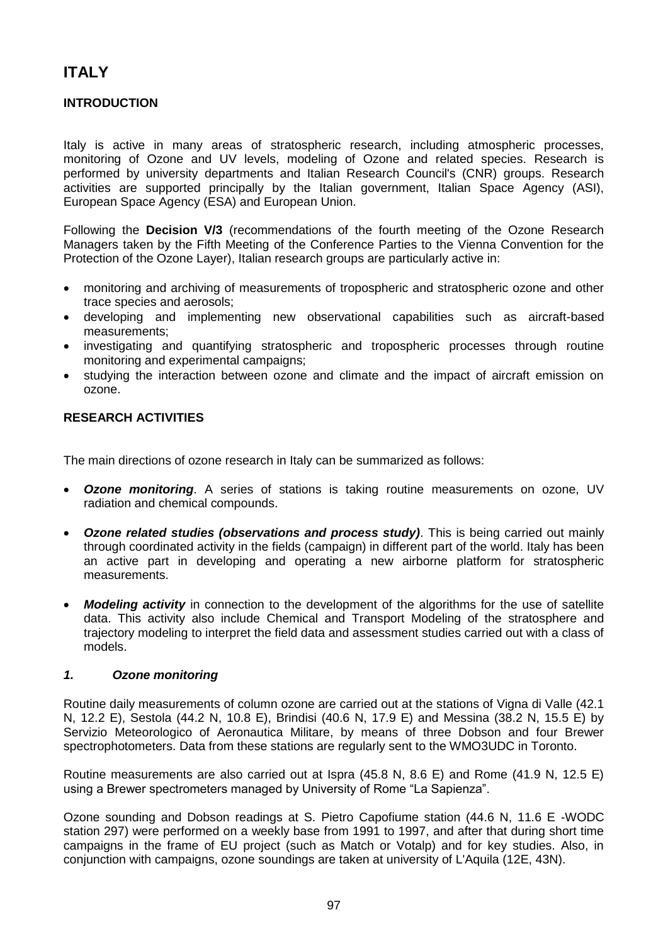# **ITALY**

# **INTRODUCTION**

Italy is active in many areas of stratospheric research, including atmospheric processes, monitoring of Ozone and UV levels, modeling of Ozone and related species. Research is performed by university departments and Italian Research Council's (CNR) groups. Research activities are supported principally by the Italian government, Italian Space Agency (ASI), European Space Agency (ESA) and European Union.

Following the **Decision V/3** (recommendations of the fourth meeting of the Ozone Research Managers taken by the Fifth Meeting of the Conference Parties to the Vienna Convention for the Protection of the Ozone Layer), Italian research groups are particularly active in:

- monitoring and archiving of measurements of tropospheric and stratospheric ozone and other trace species and aerosols;
- developing and implementing new observational capabilities such as aircraft-based measurements;
- investigating and quantifying stratospheric and tropospheric processes through routine monitoring and experimental campaigns;
- studying the interaction between ozone and climate and the impact of aircraft emission on ozone.

# **RESEARCH ACTIVITIES**

The main directions of ozone research in Italy can be summarized as follows:

- *Ozone monitoring*. A series of stations is taking routine measurements on ozone, UV radiation and chemical compounds.
- *Ozone related studies (observations and process study)*. This is being carried out mainly through coordinated activity in the fields (campaign) in different part of the world. Italy has been an active part in developing and operating a new airborne platform for stratospheric measurements.
- *Modeling activity* in connection to the development of the algorithms for the use of satellite data. This activity also include Chemical and Transport Modeling of the stratosphere and trajectory modeling to interpret the field data and assessment studies carried out with a class of models.

# *1. Ozone monitoring*

Routine daily measurements of column ozone are carried out at the stations of Vigna di Valle (42.1 N, 12.2 E), Sestola (44.2 N, 10.8 E), Brindisi (40.6 N, 17.9 E) and Messina (38.2 N, 15.5 E) by Servizio Meteorologico of Aeronautica Militare, by means of three Dobson and four Brewer spectrophotometers. Data from these stations are regularly sent to the WMO3UDC in Toronto.

Routine measurements are also carried out at Ispra (45.8 N, 8.6 E) and Rome (41.9 N, 12.5 E) using a Brewer spectrometers managed by University of Rome "La Sapienza".

Ozone sounding and Dobson readings at S. Pietro Capofiume station (44.6 N, 11.6 E -WODC station 297) were performed on a weekly base from 1991 to 1997, and after that during short time campaigns in the frame of EU project (such as Match or Votalp) and for key studies. Also, in conjunction with campaigns, ozone soundings are taken at university of L'Aquila (12E, 43N).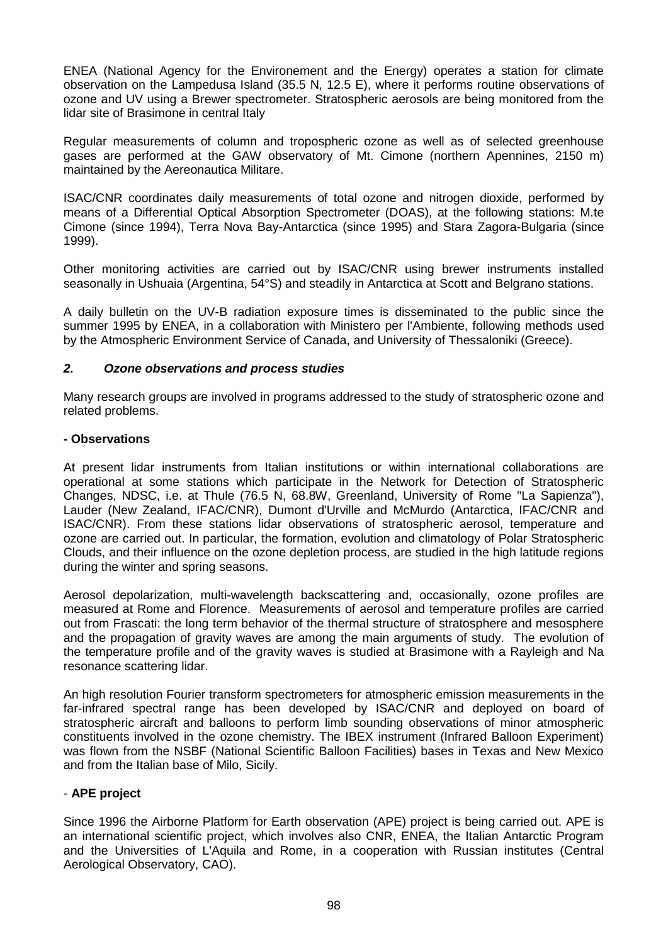ENEA (National Agency for the Environement and the Energy) operates a station for climate observation on the Lampedusa Island (35.5 N, 12.5 E), where it performs routine observations of ozone and UV using a Brewer spectrometer. Stratospheric aerosols are being monitored from the lidar site of Brasimone in central Italy

Regular measurements of column and tropospheric ozone as well as of selected greenhouse gases are performed at the GAW observatory of Mt. Cimone (northern Apennines, 2150 m) maintained by the Aereonautica Militare.

ISAC/CNR coordinates daily measurements of total ozone and nitrogen dioxide, performed by means of a Differential Optical Absorption Spectrometer (DOAS), at the following stations: M.te Cimone (since 1994), Terra Nova Bay-Antarctica (since 1995) and Stara Zagora-Bulgaria (since 1999).

Other monitoring activities are carried out by ISAC/CNR using brewer instruments installed seasonally in Ushuaia (Argentina, 54°S) and steadily in Antarctica at Scott and Belgrano stations.

A daily bulletin on the UV-B radiation exposure times is disseminated to the public since the summer 1995 by ENEA, in a collaboration with Ministero per l'Ambiente, following methods used by the Atmospheric Environment Service of Canada, and University of Thessaloniki (Greece).

# *2. Ozone observations and process studies*

Many research groups are involved in programs addressed to the study of stratospheric ozone and related problems.

# **- Observations**

At present lidar instruments from Italian institutions or within international collaborations are operational at some stations which participate in the Network for Detection of Stratospheric Changes, NDSC, i.e. at Thule (76.5 N, 68.8W, Greenland, University of Rome "La Sapienza"), Lauder (New Zealand, IFAC/CNR), Dumont d'Urville and McMurdo (Antarctica, IFAC/CNR and ISAC/CNR). From these stations lidar observations of stratospheric aerosol, temperature and ozone are carried out. In particular, the formation, evolution and climatology of Polar Stratospheric Clouds, and their influence on the ozone depletion process, are studied in the high latitude regions during the winter and spring seasons.

Aerosol depolarization, multi-wavelength backscattering and, occasionally, ozone profiles are measured at Rome and Florence. Measurements of aerosol and temperature profiles are carried out from Frascati: the long term behavior of the thermal structure of stratosphere and mesosphere and the propagation of gravity waves are among the main arguments of study. The evolution of the temperature profile and of the gravity waves is studied at Brasimone with a Rayleigh and Na resonance scattering lidar.

An high resolution Fourier transform spectrometers for atmospheric emission measurements in the far-infrared spectral range has been developed by ISAC/CNR and deployed on board of stratospheric aircraft and balloons to perform limb sounding observations of minor atmospheric constituents involved in the ozone chemistry. The IBEX instrument (Infrared Balloon Experiment) was flown from the NSBF (National Scientific Balloon Facilities) bases in Texas and New Mexico and from the Italian base of Milo, Sicily.

# - **APE project**

Since 1996 the Airborne Platform for Earth observation (APE) project is being carried out. APE is an international scientific project, which involves also CNR, ENEA, the Italian Antarctic Program and the Universities of L'Aquila and Rome, in a cooperation with Russian institutes (Central Aerological Observatory, CAO).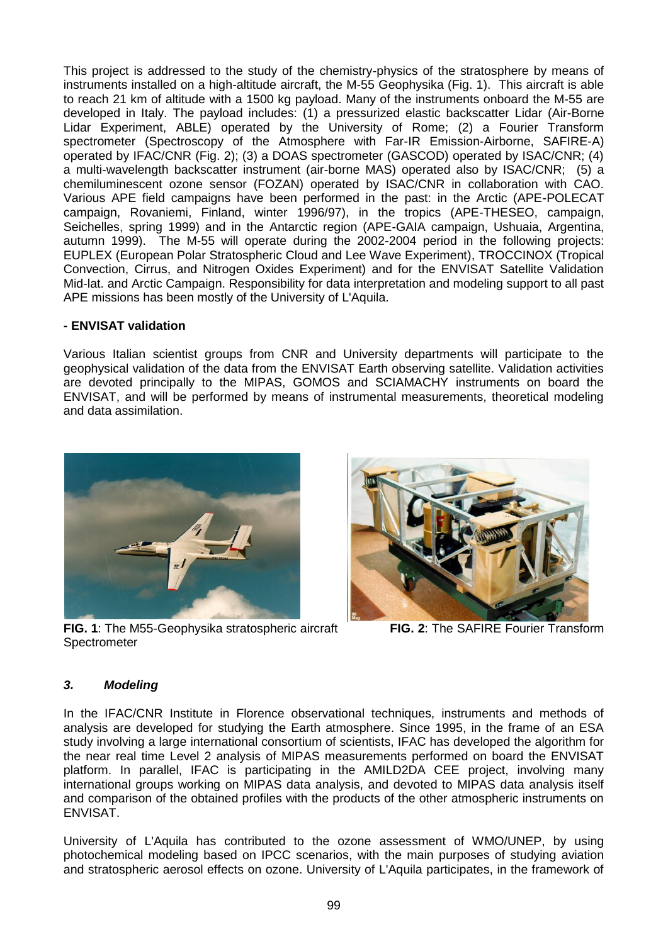This project is addressed to the study of the chemistry-physics of the stratosphere by means of instruments installed on a high-altitude aircraft, the M-55 Geophysika (Fig. 1). This aircraft is able to reach 21 km of altitude with a 1500 kg payload. Many of the instruments onboard the M-55 are developed in Italy. The payload includes: (1) a pressurized elastic backscatter Lidar (Air-Borne Lidar Experiment, ABLE) operated by the University of Rome; (2) a Fourier Transform spectrometer (Spectroscopy of the Atmosphere with Far-IR Emission-Airborne, SAFIRE-A) operated by IFAC/CNR (Fig. 2); (3) a DOAS spectrometer (GASCOD) operated by ISAC/CNR; (4) a multi-wavelength backscatter instrument (air-borne MAS) operated also by ISAC/CNR; (5) a chemiluminescent ozone sensor (FOZAN) operated by ISAC/CNR in collaboration with CAO. Various APE field campaigns have been performed in the past: in the Arctic (APE-POLECAT campaign, Rovaniemi, Finland, winter 1996/97), in the tropics (APE-THESEO, campaign, Seichelles, spring 1999) and in the Antarctic region (APE-GAIA campaign, Ushuaia, Argentina, autumn 1999). The M-55 will operate during the 2002-2004 period in the following projects: EUPLEX (European Polar Stratospheric Cloud and Lee Wave Experiment), TROCCINOX (Tropical Convection, Cirrus, and Nitrogen Oxides Experiment) and for the ENVISAT Satellite Validation Mid-lat. and Arctic Campaign. Responsibility for data interpretation and modeling support to all past APE missions has been mostly of the University of L'Aquila.

# **- ENVISAT validation**

Various Italian scientist groups from CNR and University departments will participate to the geophysical validation of the data from the ENVISAT Earth observing satellite. Validation activities are devoted principally to the MIPAS, GOMOS and SCIAMACHY instruments on board the ENVISAT, and will be performed by means of instrumental measurements, theoretical modeling and data assimilation.



**FIG. 1**: The M55-Geophysika stratospheric aircraft **FIG. 2**: The SAFIRE Fourier Transform Spectrometer



# *3. Modeling*

In the IFAC/CNR Institute in Florence observational techniques, instruments and methods of analysis are developed for studying the Earth atmosphere. Since 1995, in the frame of an ESA study involving a large international consortium of scientists, IFAC has developed the algorithm for the near real time Level 2 analysis of MIPAS measurements performed on board the ENVISAT platform. In parallel, IFAC is participating in the AMILD2DA CEE project, involving many international groups working on MIPAS data analysis, and devoted to MIPAS data analysis itself and comparison of the obtained profiles with the products of the other atmospheric instruments on ENVISAT.

University of L'Aquila has contributed to the ozone assessment of WMO/UNEP, by using photochemical modeling based on IPCC scenarios, with the main purposes of studying aviation and stratospheric aerosol effects on ozone. University of L'Aquila participates, in the framework of